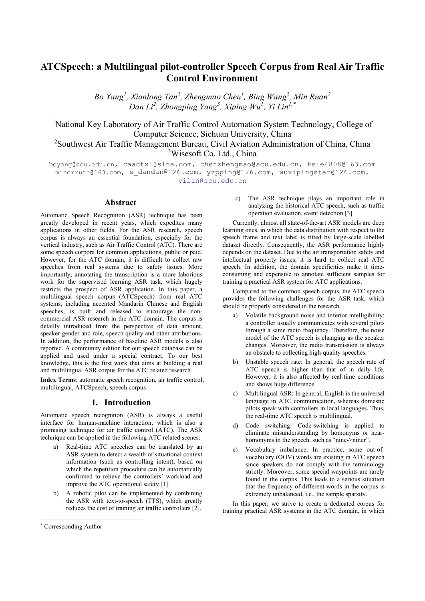# **ATCSpeech: a Multilingual pilot-controller Speech Corpus from Real Air Traffic Control Environment**

*Bo Yang<sup>1</sup> , Xianlong Tan<sup>2</sup> , Zhengmao Chen1 , Bing Wang2 , Min Ruan2 Dan Li<sup>2</sup> , Zhongping Yang<sup>3</sup> , Xiping Wu1 , Yi Lin1,\**

<sup>1</sup>National Key Laboratory of Air Traffic Control Automation System Technology, College of Computer Science, Sichuan University, China

<sup>2</sup>Southwest Air Traffic Management Bureau, Civil Aviation Administration of China, China <sup>3</sup>Wisesoft Co. Ltd., China

boyang@scu.edu.cn, caactxl@sina.com, chenzhengmao@scu.edu.cn, kele4808@163.com minerruan@163.com, e dandan@126.com, yzpping@126.com, wuxipingstar@126.com, yilin@scu.edu.cn

# **Abstract**

Automatic Speech Recognition (ASR) technique has been greatly developed in recent years, which expedites many applications in other fields. For the ASR research, speech corpus is always an essential foundation, especially for the vertical industry, such as Air Traffic Control (ATC). There are some speech corpora for common applications, public or paid. However, for the ATC domain, it is difficult to collect raw speeches from real systems due to safety issues. More importantly, annotating the transcription is a more laborious work for the supervised learning ASR task, which hugely restricts the prospect of ASR application. In this paper, a multilingual speech corpus (ATCSpeech) from real ATC systems, including accented Mandarin Chinese and English speeches, is built and released to encourage the noncommercial ASR research in the ATC domain. The corpus is detailly introduced from the perspective of data amount, speaker gender and role, speech quality and other attributions. In addition, the performance of baseline ASR models is also reported. A community edition for our speech database can be applied and used under a special contract. To our best knowledge, this is the first work that aims at building a real and multilingual ASR corpus for the ATC related research.

**Index Terms**: automatic speech recognition, air traffic control, multilingual, ATCSpeech, speech corpus

## **1. Introduction**

Automatic speech recognition (ASR) is always a useful interface for human-machine interaction, which is also a promising technique for air traffic control (ATC). The ASR technique can be applied in the following ATC related scenes:

- a) Real-time ATC speeches can be translated by an ASR system to detect a wealth of situational context information (such as controlling intent), based on which the repetition procedure can be automatically confirmed to relieve the controllers' workload and improve the ATC operational safety [1].
- b) A robotic pilot can be implemented by combining the ASR with text-to-speech (TTS), which greatly reduces the cost of training air traffic controllers [2].

c) The ASR technique plays an important role in analyzing the historical ATC speech, such as traffic operation evaluation, event detection [3].

Currently, almost all state-of-the-art ASR models are deep learning ones, in which the data distribution with respect to the speech frame and text label is fitted by large-scale labelled dataset directly. Consequently, the ASR performance highly depends on the dataset. Due to the air transportation safety and intellectual property issues, it is hard to collect real ATC speech. In addition, the domain specificities make it timeconsuming and expensive to annotate sufficient samples for training a practical ASR system for ATC applications.

Compared to the common speech corpus, the ATC speech provides the following challenges for the ASR task, which should be properly considered in the research.

- a) Volatile background noise and inferior intelligibility: a controller usually communicates with several pilots through a same radio frequency. Therefore, the noise model of the ATC speech is changing as the speaker changes. Moreover, the radio transmission is always an obstacle to collecting high-quality speeches.
- b) Unstable speech rate: In general, the speech rate of ATC speech is higher than that of in daily life. However, it is also affected by real-time conditions and shows huge difference.
- c) Multilingual ASR: In general, English is the universal language in ATC communication, whereas domestic pilots speak with controllers in local languages. Thus, the real-time ATC speech is multilingual.
- d) Code switching: Code-switching is applied to eliminate misunderstanding by homonyms or nearhomonyms in the speech, such as "nine->niner".
- e) Vocabulary imbalance: In practice, some out-ofvocabulary (OOV) words are existing in ATC speech since speakers do not comply with the terminology strictly. Moreover, some special waypoints are rarely found in the corpus. This leads to a serious situation that the frequency of different words in the corpus is extremely unbalanced, i.e., the sample sparsity.

In this paper, we strive to create a dedicated corpus for training practical ASR systems in the ATC domain, in which

<sup>\*</sup> Corresponding Author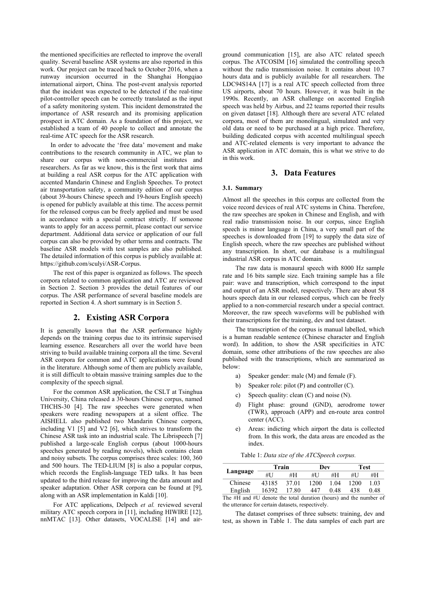the mentioned specificities are reflected to improve the overall quality. Several baseline ASR systems are also reported in this work. Our project can be traced back to October 2016, when a runway incursion occurred in the Shanghai Hongqiao international airport, China. The post-event analysis reported that the incident was expected to be detected if the real-time pilot-controller speech can be correctly translated as the input of a safety monitoring system. This incident demonstrated the importance of ASR research and its promising application prospect in ATC domain. As a foundation of this project, we established a team of 40 people to collect and annotate the real-time ATC speech for the ASR research.

In order to advocate the 'free data' movement and make contributions to the research community in ATC, we plan to share our corpus with non-commercial institutes and researchers. As far as we know, this is the first work that aims at building a real ASR corpus for the ATC application with accented Mandarin Chinese and English Speeches. To protect air transportation safety, a community edition of our corpus (about 39-hours Chinese speech and 19-hours English speech) is opened for publicly available at this time. The access permit for the released corpus can be freely applied and must be used in accordance with a special contract strictly. If someone wants to apply for an access permit, please contact our service department. Additional data service or application of our full corpus can also be provided by other terms and contracts. The baseline ASR models with test samples are also published. The detailed information of this corpus is publicly available at: https://github.com/sculyi/ASR-Corpus.

The rest of this paper is organized as follows. The speech corpora related to common application and ATC are reviewed in Section 2. Section 3 provides the detail features of our corpus. The ASR performance of several baseline models are reported in Section 4. A short summary is in Section 5.

## **2. Existing ASR Corpora**

It is generally known that the ASR performance highly depends on the training corpus due to its intrinsic supervised learning essence. Researchers all over the world have been striving to build available training corpora all the time. Several ASR corpora for common and ATC applications were found in the literature. Although some of them are publicly available, it is still difficult to obtain massive training samples due to the complexity of the speech signal.

For the common ASR application, the CSLT at Tsinghua University, China released a 30-hours Chinese corpus, named THCHS-30 [4]. The raw speeches were generated when speakers were reading newspapers at a silent office. The AISHELL also published two Mandarin Chinese corpora, including V1 [5] and V2 [6], which strives to transform the Chinese ASR task into an industrial scale. The Librispeech [7] published a large-scale English corpus (about 1000-hours speeches generated by reading novels), which contains clean and noisy subsets. The corpus comprises three scales: 100, 360 and 500 hours. The TED-LIUM [8] is also a popular corpus, which records the English-language TED talks. It has been updated to the third release for improving the data amount and speaker adaptation. Other ASR corpora can be found at [9], along with an ASR implementation in Kaldi [10].

For ATC applications, Delpech *et al.* reviewed several military ATC speech corpora in [11], including HIWIRE [12], nnMTAC [13]. Other datasets, VOCALISE [14] and airground communication [15], are also ATC related speech corpus. The ATCOSIM [16] simulated the controlling speech without the radio transmission noise. It contains about 10.7 hours data and is publicly available for all researchers. The LDC94S14A [17] is a real ATC speech collected from three US airports, about 70 hours. However, it was built in the 1990s. Recently, an ASR challenge on accented English speech was held by Airbus, and 22 teams reported their results on given dataset [18]. Although there are several ATC related corpora, most of them are monolingual, simulated and very old data or need to be purchased at a high price. Therefore, building dedicated corpus with accented multilingual speech and ATC-related elements is very important to advance the ASR application in ATC domain, this is what we strive to do in this work.

### **3. Data Features**

#### **3.1. Summary**

Almost all the speeches in this corpus are collected from the voice record devices of real ATC systems in China. Therefore, the raw speeches are spoken in Chinese and English, and with real radio transmission noise. In our corpus, since English speech is minor language in China, a very small part of the speeches is downloaded from [19] to supply the data size of English speech, where the raw speeches are published without any transcription. In short, our database is a multilingual industrial ASR corpus in ATC domain.

The raw data is monaural speech with 8000 Hz sample rate and 16 bits sample size. Each training sample has a file pair: wave and transcription, which correspond to the input and output of an ASR model, respectively. There are about 58 hours speech data in our released corpus, which can be freely applied to a non-commercial research under a special contract. Moreover, the raw speech waveforms will be published with their transcriptions for the training, dev and test dataset.

The transcription of the corpus is manual labelled, which is a human readable sentence (Chinese character and English word). In addition, to show the ASR specificities in ATC domain, some other attributions of the raw speeches are also published with the transcriptions, which are summarized as below:

- a) Speaker gender: male (M) and female (F).
- b) Speaker role: pilot (P) and controller (C).
- c) Speech quality: clean (C) and noise (N).
- d) Flight phase: ground (GND), aerodrome tower (TWR), approach (APP) and en-route area control center (ACC).
- e) Areas: indicting which airport the data is collected from. In this work, the data areas are encoded as the index.

|  |  |  |  | Table 1: Data size of the ATCSpeech corpus. |
|--|--|--|--|---------------------------------------------|
|--|--|--|--|---------------------------------------------|

|          | Train |       | Dev  |      | Test |      |
|----------|-------|-------|------|------|------|------|
| Language | #U    | #H    | #U   | #H   | #U   | #H   |
| Chinese  | 43185 | 37.01 | 1200 | 1.04 | 1200 | 1.03 |
| English  | 16392 | 17.80 | 447  | 0.48 | 438  | 0.48 |

The #H and #U denote the total duration (hours) and the number of the utterance for certain datasets, respectively.

The dataset comprises of three subsets: training, dev and test, as shown in Table 1. The data samples of each part are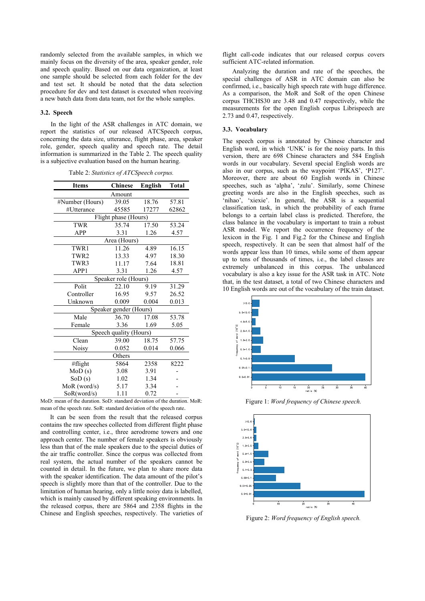randomly selected from the available samples, in which we mainly focus on the diversity of the area, speaker gender, role and speech quality. Based on our data organization, at least one sample should be selected from each folder for the dev and test set. It should be noted that the data selection procedure for dev and test dataset is executed when receiving a new batch data from data team, not for the whole samples.

### **3.2. Speech**

In the light of the ASR challenges in ATC domain, we report the statistics of our released ATCSpeech corpus, concerning the data size, utterance, flight phase, area, speaker role, gender, speech quality and speech rate. The detail information is summarized in the Table 2. The speech quality is a subjective evaluation based on the human hearing.

Table 2: *Statistics of ATCSpeech corpus.*

| <b>Items</b>           | <b>Chinese</b>       | <b>English</b> | <b>Total</b> |  |  |  |
|------------------------|----------------------|----------------|--------------|--|--|--|
| Amount                 |                      |                |              |  |  |  |
| #Number (Hours)        | 39.05                | 18.76          | 57.81        |  |  |  |
| #Utterance             | 45585                | 17277          | 62862        |  |  |  |
|                        | Flight phase (Hours) |                |              |  |  |  |
| <b>TWR</b>             | 35.74                | 17.50          | 53.24        |  |  |  |
| <b>APP</b>             | 3.31                 | 1.26           | 4.57         |  |  |  |
|                        | Area (Hours)         |                |              |  |  |  |
| TWR1                   | 11.26                | 4.89           | 16.15        |  |  |  |
| TWR <sub>2</sub>       | 13.33                | 4.97           | 18.30        |  |  |  |
| TWR3                   | 11.17                | 7.64           | 18.81        |  |  |  |
| APP1                   | 3.31                 | 1.26           | 4.57         |  |  |  |
| Speaker role (Hours)   |                      |                |              |  |  |  |
| Polit                  | 22.10                | 9.19           | 31.29        |  |  |  |
| Controller             | 16.95                | 9.57           | 26.52        |  |  |  |
| Unknown                | 0.009                | 0.004          | 0.013        |  |  |  |
| Speaker gender (Hours) |                      |                |              |  |  |  |
| Male                   | 36.70                | 17.08          | 53.78        |  |  |  |
| Female                 | 3.36                 | 1.69           | 5.05         |  |  |  |
| Speech quality (Hours) |                      |                |              |  |  |  |
| Clean                  | 39.00                | 18.75          | 57.75        |  |  |  |
| Noisy                  | 0.052                | 0.014          | 0.066        |  |  |  |
| Others                 |                      |                |              |  |  |  |
| #flight                | 5864                 | 2358           | 8222         |  |  |  |
| MoD(s)                 | 3.08                 | 3.91           |              |  |  |  |
| SOD(s)                 | 1.02                 | 1.34           |              |  |  |  |
| $MoR$ (word/s)         | 5.17                 | 3.34           |              |  |  |  |
| SoR(word/s)            | 1.11                 | 0.72           |              |  |  |  |

MoD: mean of the duration. SoD: standard deviation of the duration. MoR: mean of the speech rate. SoR: standard deviation of the speech rate.

It can be seen from the result that the released corpus contains the raw speeches collected from different flight phase and controlling center, i.e., three aerodrome towers and one approach center. The number of female speakers is obviously less than that of the male speakers due to the special duties of the air traffic controller. Since the corpus was collected from real system, the actual number of the speakers cannot be counted in detail. In the future, we plan to share more data with the speaker identification. The data amount of the pilot's speech is slightly more than that of the controller. Due to the limitation of human hearing, only a little noisy data is labelled, which is mainly caused by different speaking environments. In the released corpus, there are 5864 and 2358 flights in the Chinese and English speeches, respectively. The varieties of flight call-code indicates that our released corpus covers sufficient ATC-related information.

Analyzing the duration and rate of the speeches, the special challenges of ASR in ATC domain can also be confirmed, i.e., basically high speech rate with huge difference. As a comparison, the MoR and SoR of the open Chinese corpus THCHS30 are 3.48 and 0.47 respectively, while the measurements for the open English corpus Librispeech are 2.73 and 0.47, respectively.

#### **3.3. Vocabulary**

The speech corpus is annotated by Chinese character and English word, in which 'UNK' is for the noisy parts. In this version, there are 698 Chinese characters and 584 English words in our vocabulary. Several special English words are also in our corpus, such as the waypoint 'PIKAS', 'P127'. Moreover, there are about 60 English words in Chinese speeches, such as 'alpha', 'zulu'. Similarly, some Chinese greeting words are also in the English speeches, such as 'nihao', 'xiexie'. In general, the ASR is a sequential classification task, in which the probability of each frame belongs to a certain label class is predicted. Therefore, the class balance in the vocabulary is important to train a robust ASR model. We report the occurrence frequency of the lexicon in the Fig. 1 and Fig.2 for the Chinese and English speech, respectively. It can be seen that almost half of the words appear less than 10 times, while some of them appear up to tens of thousands of times, i.e., the label classes are extremely unbalanced in this corpus. The unbalanced vocabulary is also a key issue for the ASR task in ATC. Note that, in the test dataset, a total of two Chinese characters and 10 English words are out of the vocabulary of the train dataset.



Figure 1: *Word frequency of Chinese speech.*



Figure 2: *Word frequency of English speech.*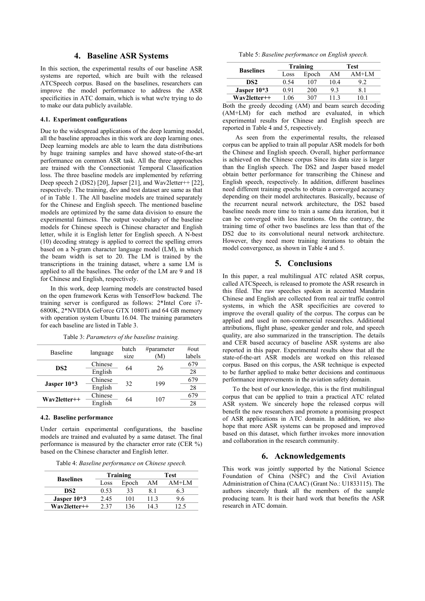# **4. Baseline ASR Systems**

In this section, the experimental results of our baseline ASR systems are reported, which are built with the released ATCSpeech corpus. Based on the baselines, researchers can improve the model performance to address the ASR specificities in ATC domain, which is what we're trying to do to make our data publicly available.

#### **4.1. Experiment configurations**

Due to the widespread applications of the deep learning model, all the baseline approaches in this work are deep learning ones. Deep learning models are able to learn the data distributions by huge training samples and have showed state-of-the-art performance on common ASR task. All the three approaches are trained with the Connectionist Temporal Classification loss. The three baseline models are implemented by referring Deep speech 2 (DS2) [20], Japser [21], and Wav2letter++ [22], respectively. The training, dev and test dataset are same as that of in Table 1. The All baseline models are trained separately for the Chinese and English speech. The mentioned baseline models are optimized by the same data division to ensure the experimental fairness. The output vocabulary of the baseline models for Chinese speech is Chinese character and English letter, while it is English letter for English speech. A N-best (10) decoding strategy is applied to correct the spelling errors based on a N-gram character language model (LM), in which the beam width is set to 20. The LM is trained by the transcriptions in the training dataset, where a same LM is applied to all the baselines. The order of the LM are 9 and 18 for Chinese and English, respectively.

In this work, deep learning models are constructed based on the open framework Keras with TensorFlow backend. The training server is configured as follows: 2\*Intel Core i7- 6800K, 2\*NVIDIA GeForce GTX 1080Ti and 64 GB memory with operation system Ubuntu 16.04. The training parameters for each baseline are listed in Table 3.

| Table 3: Parameters of the baseline training. |  |  |
|-----------------------------------------------|--|--|
|                                               |  |  |

| Baseline        |          | batch | # $\mu$ parameter | $\#$ out |
|-----------------|----------|-------|-------------------|----------|
|                 | language | size  | (M)               | labels   |
| DS <sub>2</sub> | Chinese  | 64    |                   | 679      |
|                 | English  |       | 26                | 28       |
|                 | Chinese  | 32    | 199               | 679      |
| Jasper 10*3     | English  |       |                   | 28       |
|                 | Chinese  |       |                   | 679      |
| Wav2letter++    | English  | 64    | 107               | 28       |

#### **4.2. Baseline performance**

Under certain experimental configurations, the baseline models are trained and evaluated by a same dataset. The final performance is measured by the character error rate (CER %) based on the Chinese character and English letter.

Table 4: *Baseline performance on Chinese speech.*

|                  | Training |       | Test |         |  |
|------------------|----------|-------|------|---------|--|
| <b>Baselines</b> | Loss     | Epoch | AМ   | $AM+LM$ |  |
| DS2              | 0.53     | 33    | 8.1  | 6.3     |  |
| Jasper $10*3$    | 2.45     | 101   | 11.3 | 9.6     |  |
| Wav2letter++     | ว ว ว    | 136   | 143  |         |  |

Table 5: *Baseline performance on English speech.*

| <b>Baselines</b> | Training |       | <b>Test</b> |                |  |
|------------------|----------|-------|-------------|----------------|--|
|                  | Loss     | Epoch | AM          | $AM+LM$        |  |
| DS <sub>2</sub>  | 0.54     | 107   | 10.4        | 9.2            |  |
| Jasper $10*3$    | 0.91     | 200   | 9.3         |                |  |
| $Wav2letter++$   | 1.06     | 307   | 11.3        | 0 <sub>1</sub> |  |

Both the greedy decoding (AM) and beam search decoding (AM+LM) for each method are evaluated, in which experimental results for Chinese and English speech are reported in Table 4 and 5, respectively.

As seen from the experimental results, the released corpus can be applied to train all popular ASR models for both the Chinese and English speech. Overall, higher performance is achieved on the Chinese corpus Since its data size is larger than the English speech. The DS2 and Jasper based model obtain better performance for transcribing the Chinese and English speech, respectively. In addition, different baselines need different training epochs to obtain a converged accuracy depending on their model architectures. Basically, because of the recurrent neural network architecture, the DS2 based baseline needs more time to train a same data iteration, but it can be converged with less iterations. On the contrary, the training time of other two baselines are less than that of the DS2 due to its convolutional neural network architecture. However, they need more training iterations to obtain the model convergence, as shown in Table 4 and 5.

# **5. Conclusions**

In this paper, a real multilingual ATC related ASR corpus, called ATCSpeech, is released to promote the ASR research in this filed. The raw speeches spoken in accented Mandarin Chinese and English are collected from real air traffic control systems, in which the ASR specificities are covered to improve the overall quality of the corpus. The corpus can be applied and used in non-commercial researches. Additional attributions, flight phase, speaker gender and role, and speech quality, are also summarized in the transcription. The details and CER based accuracy of baseline ASR systems are also reported in this paper. Experimental results show that all the state-of-the-art ASR models are worked on this released corpus. Based on this corpus, the ASR technique is expected to be further applied to make better decisions and continuous performance improvements in the aviation safety domain.

To the best of our knowledge, this is the first multilingual corpus that can be applied to train a practical ATC related ASR system. We sincerely hope the released corpus will benefit the new researchers and promote a promising prospect of ASR applications in ATC domain. In addition, we also hope that more ASR systems can be proposed and improved based on this dataset, which further invokes more innovation and collaboration in the research community.

### **6. Acknowledgements**

This work was jointly supported by the National Science Foundation of China (NSFC) and the Civil Aviation Administration of China (CAAC) (Grant No.: U1833115). The authors sincerely thank all the members of the sample producing team. It is their hard work that benefits the ASR research in ATC domain.